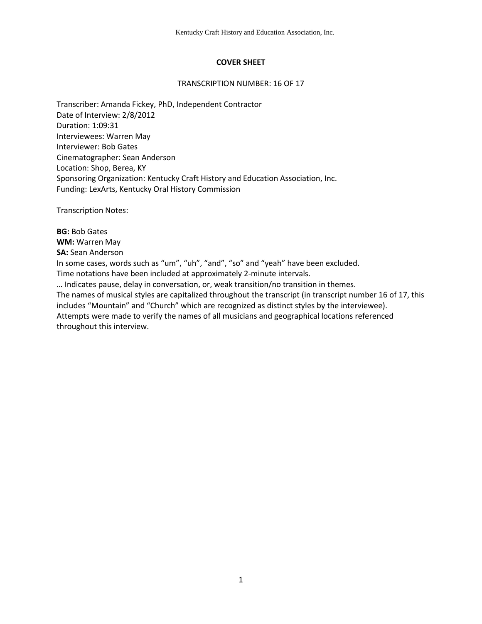# **COVER SHEET**

#### TRANSCRIPTION NUMBER: 16 OF 17

Transcriber: Amanda Fickey, PhD, Independent Contractor Date of Interview: 2/8/2012 Duration: 1:09:31 Interviewees: Warren May Interviewer: Bob Gates Cinematographer: Sean Anderson Location: Shop, Berea, KY Sponsoring Organization: Kentucky Craft History and Education Association, Inc. Funding: LexArts, Kentucky Oral History Commission

Transcription Notes:

**BG:** Bob Gates **WM:** Warren May **SA:** Sean Anderson In some cases, words such as "um", "uh", "and", "so" and "yeah" have been excluded. Time notations have been included at approximately 2-minute intervals. … Indicates pause, delay in conversation, or, weak transition/no transition in themes. The names of musical styles are capitalized throughout the transcript (in transcript number 16 of 17, this includes "Mountain" and "Church" which are recognized as distinct styles by the interviewee). Attempts were made to verify the names of all musicians and geographical locations referenced throughout this interview.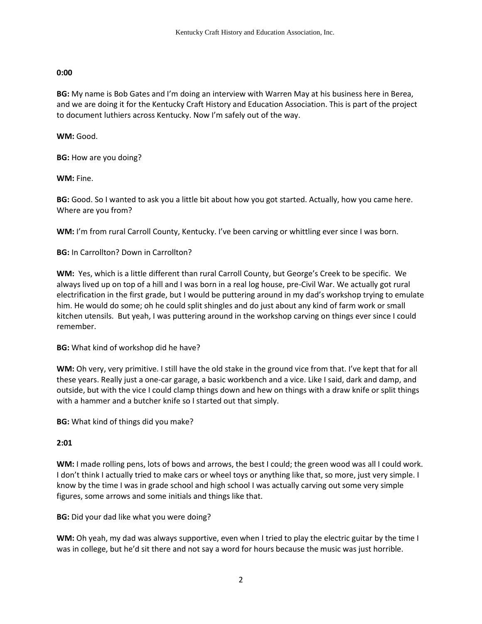### **0:00**

**BG:** My name is Bob Gates and I'm doing an interview with Warren May at his business here in Berea, and we are doing it for the Kentucky Craft History and Education Association. This is part of the project to document luthiers across Kentucky. Now I'm safely out of the way.

**WM:** Good.

**BG:** How are you doing?

**WM:** Fine.

**BG:** Good. So I wanted to ask you a little bit about how you got started. Actually, how you came here. Where are you from?

**WM:** I'm from rural Carroll County, Kentucky. I've been carving or whittling ever since I was born.

**BG:** In Carrollton? Down in Carrollton?

**WM:** Yes, which is a little different than rural Carroll County, but George's Creek to be specific. We always lived up on top of a hill and I was born in a real log house, pre-Civil War. We actually got rural electrification in the first grade, but I would be puttering around in my dad's workshop trying to emulate him. He would do some; oh he could split shingles and do just about any kind of farm work or small kitchen utensils. But yeah, I was puttering around in the workshop carving on things ever since I could remember.

**BG:** What kind of workshop did he have?

**WM:** Oh very, very primitive. I still have the old stake in the ground vice from that. I've kept that for all these years. Really just a one-car garage, a basic workbench and a vice. Like I said, dark and damp, and outside, but with the vice I could clamp things down and hew on things with a draw knife or split things with a hammer and a butcher knife so I started out that simply.

**BG:** What kind of things did you make?

### **2:01**

**WM:** I made rolling pens, lots of bows and arrows, the best I could; the green wood was all I could work. I don't think I actually tried to make cars or wheel toys or anything like that, so more, just very simple. I know by the time I was in grade school and high school I was actually carving out some very simple figures, some arrows and some initials and things like that.

**BG:** Did your dad like what you were doing?

**WM:** Oh yeah, my dad was always supportive, even when I tried to play the electric guitar by the time I was in college, but he'd sit there and not say a word for hours because the music was just horrible.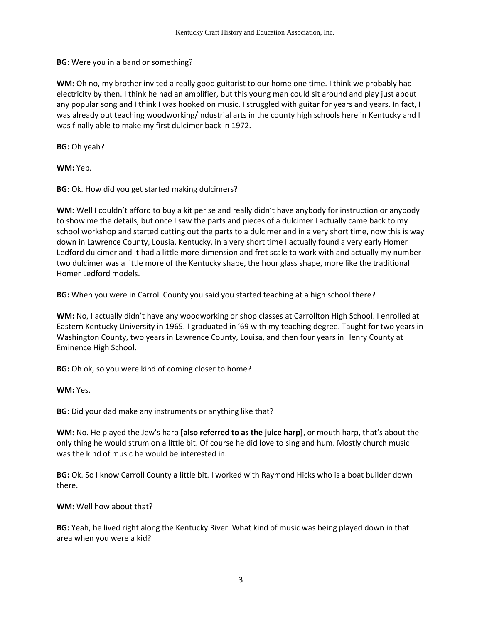**BG:** Were you in a band or something?

**WM:** Oh no, my brother invited a really good guitarist to our home one time. I think we probably had electricity by then. I think he had an amplifier, but this young man could sit around and play just about any popular song and I think I was hooked on music. I struggled with guitar for years and years. In fact, I was already out teaching woodworking/industrial arts in the county high schools here in Kentucky and I was finally able to make my first dulcimer back in 1972.

**BG:** Oh yeah?

**WM:** Yep.

**BG:** Ok. How did you get started making dulcimers?

**WM:** Well I couldn't afford to buy a kit per se and really didn't have anybody for instruction or anybody to show me the details, but once I saw the parts and pieces of a dulcimer I actually came back to my school workshop and started cutting out the parts to a dulcimer and in a very short time, now this is way down in Lawrence County, Lousia, Kentucky, in a very short time I actually found a very early Homer Ledford dulcimer and it had a little more dimension and fret scale to work with and actually my number two dulcimer was a little more of the Kentucky shape, the hour glass shape, more like the traditional Homer Ledford models.

**BG:** When you were in Carroll County you said you started teaching at a high school there?

**WM:** No, I actually didn't have any woodworking or shop classes at Carrollton High School. I enrolled at Eastern Kentucky University in 1965. I graduated in '69 with my teaching degree. Taught for two years in Washington County, two years in Lawrence County, Louisa, and then four years in Henry County at Eminence High School.

**BG:** Oh ok, so you were kind of coming closer to home?

**WM:** Yes.

**BG:** Did your dad make any instruments or anything like that?

**WM:** No. He played the Jew's harp **[also referred to as the juice harp]**, or mouth harp, that's about the only thing he would strum on a little bit. Of course he did love to sing and hum. Mostly church music was the kind of music he would be interested in.

**BG:** Ok. So I know Carroll County a little bit. I worked with Raymond Hicks who is a boat builder down there.

**WM:** Well how about that?

**BG:** Yeah, he lived right along the Kentucky River. What kind of music was being played down in that area when you were a kid?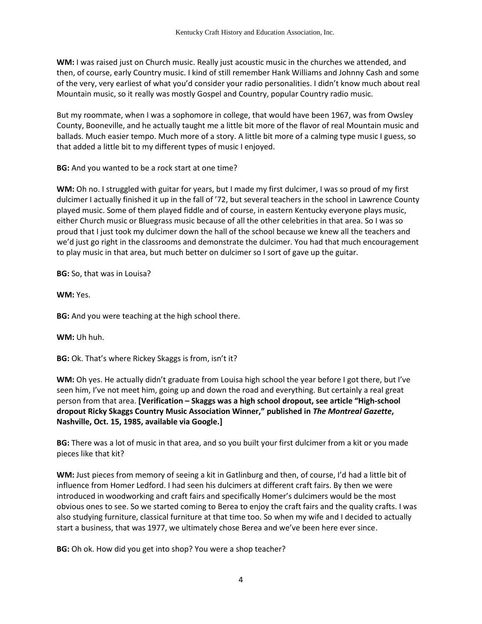**WM:** I was raised just on Church music. Really just acoustic music in the churches we attended, and then, of course, early Country music. I kind of still remember Hank Williams and Johnny Cash and some of the very, very earliest of what you'd consider your radio personalities. I didn't know much about real Mountain music, so it really was mostly Gospel and Country, popular Country radio music.

But my roommate, when I was a sophomore in college, that would have been 1967, was from Owsley County, Booneville, and he actually taught me a little bit more of the flavor of real Mountain music and ballads. Much easier tempo. Much more of a story. A little bit more of a calming type music I guess, so that added a little bit to my different types of music I enjoyed.

**BG:** And you wanted to be a rock start at one time?

**WM:** Oh no. I struggled with guitar for years, but I made my first dulcimer, I was so proud of my first dulcimer I actually finished it up in the fall of '72, but several teachers in the school in Lawrence County played music. Some of them played fiddle and of course, in eastern Kentucky everyone plays music, either Church music or Bluegrass music because of all the other celebrities in that area. So I was so proud that I just took my dulcimer down the hall of the school because we knew all the teachers and we'd just go right in the classrooms and demonstrate the dulcimer. You had that much encouragement to play music in that area, but much better on dulcimer so I sort of gave up the guitar.

**BG:** So, that was in Louisa?

**WM:** Yes.

**BG:** And you were teaching at the high school there.

**WM:** Uh huh.

**BG:** Ok. That's where Rickey Skaggs is from, isn't it?

**WM:** Oh yes. He actually didn't graduate from Louisa high school the year before I got there, but I've seen him, I've not meet him, going up and down the road and everything. But certainly a real great person from that area. **[Verification – Skaggs was a high school dropout, see article "High-school dropout Ricky Skaggs Country Music Association Winner," published in** *The Montreal Gazette***, Nashville, Oct. 15, 1985, available via Google.]**

**BG:** There was a lot of music in that area, and so you built your first dulcimer from a kit or you made pieces like that kit?

**WM:** Just pieces from memory of seeing a kit in Gatlinburg and then, of course, I'd had a little bit of influence from Homer Ledford. I had seen his dulcimers at different craft fairs. By then we were introduced in woodworking and craft fairs and specifically Homer's dulcimers would be the most obvious ones to see. So we started coming to Berea to enjoy the craft fairs and the quality crafts. I was also studying furniture, classical furniture at that time too. So when my wife and I decided to actually start a business, that was 1977, we ultimately chose Berea and we've been here ever since.

**BG:** Oh ok. How did you get into shop? You were a shop teacher?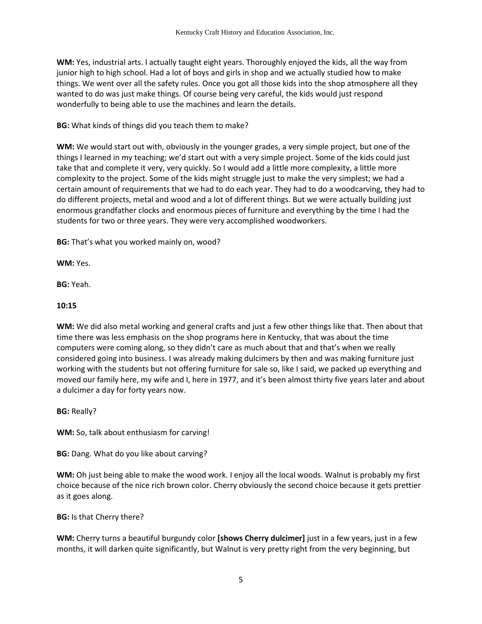**WM:** Yes, industrial arts. I actually taught eight years. Thoroughly enjoyed the kids, all the way from junior high to high school. Had a lot of boys and girls in shop and we actually studied how to make things. We went over all the safety rules. Once you got all those kids into the shop atmosphere all they wanted to do was just make things. Of course being very careful, the kids would just respond wonderfully to being able to use the machines and learn the details.

**BG:** What kinds of things did you teach them to make?

**WM:** We would start out with, obviously in the younger grades, a very simple project, but one of the things I learned in my teaching; we'd start out with a very simple project. Some of the kids could just take that and complete it very, very quickly. So I would add a little more complexity, a little more complexity to the project. Some of the kids might struggle just to make the very simplest; we had a certain amount of requirements that we had to do each year. They had to do a woodcarving, they had to do different projects, metal and wood and a lot of different things. But we were actually building just enormous grandfather clocks and enormous pieces of furniture and everything by the time I had the students for two or three years. They were very accomplished woodworkers.

**BG:** That's what you worked mainly on, wood?

**WM:** Yes.

**BG:** Yeah.

# **10:15**

**WM:** We did also metal working and general crafts and just a few other things like that. Then about that time there was less emphasis on the shop programs here in Kentucky, that was about the time computers were coming along, so they didn't care as much about that and that's when we really considered going into business. I was already making dulcimers by then and was making furniture just working with the students but not offering furniture for sale so, like I said, we packed up everything and moved our family here, my wife and I, here in 1977, and it's been almost thirty five years later and about a dulcimer a day for forty years now.

**BG:** Really?

**WM:** So, talk about enthusiasm for carving!

**BG:** Dang. What do you like about carving?

**WM:** Oh just being able to make the wood work. I enjoy all the local woods. Walnut is probably my first choice because of the nice rich brown color. Cherry obviously the second choice because it gets prettier as it goes along.

**BG:** Is that Cherry there?

**WM:** Cherry turns a beautiful burgundy color **[shows Cherry dulcimer]** just in a few years, just in a few months, it will darken quite significantly, but Walnut is very pretty right from the very beginning, but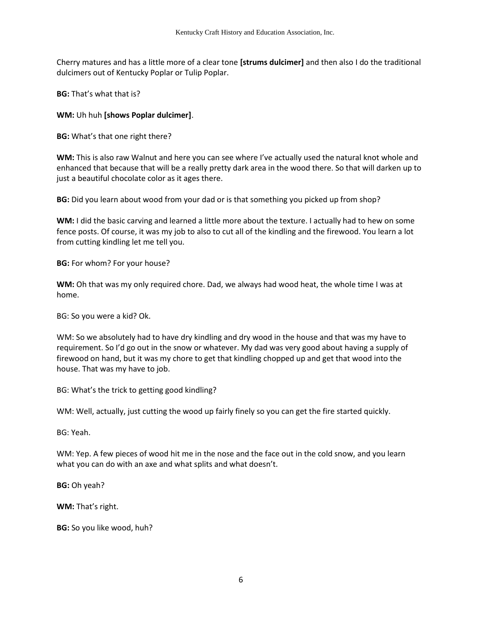Cherry matures and has a little more of a clear tone **[strums dulcimer]** and then also I do the traditional dulcimers out of Kentucky Poplar or Tulip Poplar.

**BG:** That's what that is?

**WM:** Uh huh **[shows Poplar dulcimer]**.

**BG:** What's that one right there?

**WM:** This is also raw Walnut and here you can see where I've actually used the natural knot whole and enhanced that because that will be a really pretty dark area in the wood there. So that will darken up to just a beautiful chocolate color as it ages there.

**BG:** Did you learn about wood from your dad or is that something you picked up from shop?

**WM:** I did the basic carving and learned a little more about the texture. I actually had to hew on some fence posts. Of course, it was my job to also to cut all of the kindling and the firewood. You learn a lot from cutting kindling let me tell you.

**BG:** For whom? For your house?

**WM:** Oh that was my only required chore. Dad, we always had wood heat, the whole time I was at home.

BG: So you were a kid? Ok.

WM: So we absolutely had to have dry kindling and dry wood in the house and that was my have to requirement. So I'd go out in the snow or whatever. My dad was very good about having a supply of firewood on hand, but it was my chore to get that kindling chopped up and get that wood into the house. That was my have to job.

BG: What's the trick to getting good kindling?

WM: Well, actually, just cutting the wood up fairly finely so you can get the fire started quickly.

BG: Yeah.

WM: Yep. A few pieces of wood hit me in the nose and the face out in the cold snow, and you learn what you can do with an axe and what splits and what doesn't.

**BG:** Oh yeah?

**WM:** That's right.

**BG:** So you like wood, huh?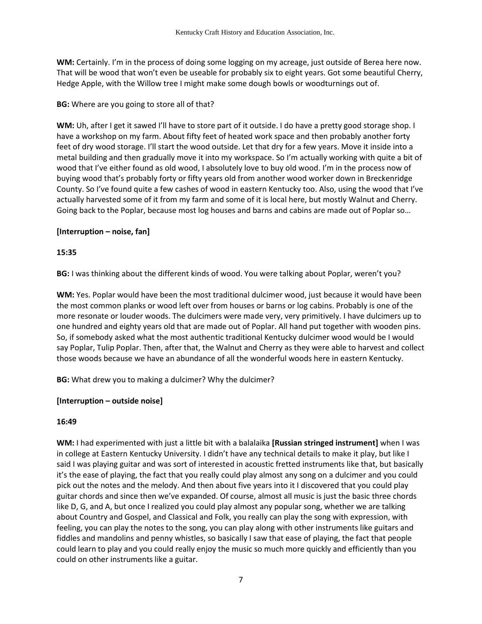**WM:** Certainly. I'm in the process of doing some logging on my acreage, just outside of Berea here now. That will be wood that won't even be useable for probably six to eight years. Got some beautiful Cherry, Hedge Apple, with the Willow tree I might make some dough bowls or woodturnings out of.

# **BG:** Where are you going to store all of that?

**WM:** Uh, after I get it sawed I'll have to store part of it outside. I do have a pretty good storage shop. I have a workshop on my farm. About fifty feet of heated work space and then probably another forty feet of dry wood storage. I'll start the wood outside. Let that dry for a few years. Move it inside into a metal building and then gradually move it into my workspace. So I'm actually working with quite a bit of wood that I've either found as old wood, I absolutely love to buy old wood. I'm in the process now of buying wood that's probably forty or fifty years old from another wood worker down in Breckenridge County. So I've found quite a few cashes of wood in eastern Kentucky too. Also, using the wood that I've actually harvested some of it from my farm and some of it is local here, but mostly Walnut and Cherry. Going back to the Poplar, because most log houses and barns and cabins are made out of Poplar so…

# **[Interruption – noise, fan]**

# **15:35**

**BG:** I was thinking about the different kinds of wood. You were talking about Poplar, weren't you?

**WM:** Yes. Poplar would have been the most traditional dulcimer wood, just because it would have been the most common planks or wood left over from houses or barns or log cabins. Probably is one of the more resonate or louder woods. The dulcimers were made very, very primitively. I have dulcimers up to one hundred and eighty years old that are made out of Poplar. All hand put together with wooden pins. So, if somebody asked what the most authentic traditional Kentucky dulcimer wood would be I would say Poplar, Tulip Poplar. Then, after that, the Walnut and Cherry as they were able to harvest and collect those woods because we have an abundance of all the wonderful woods here in eastern Kentucky.

**BG:** What drew you to making a dulcimer? Why the dulcimer?

### **[Interruption – outside noise]**

### **16:49**

**WM:** I had experimented with just a little bit with a balalaika **[Russian stringed instrument]** when I was in college at Eastern Kentucky University. I didn't have any technical details to make it play, but like I said I was playing guitar and was sort of interested in acoustic fretted instruments like that, but basically it's the ease of playing, the fact that you really could play almost any song on a dulcimer and you could pick out the notes and the melody. And then about five years into it I discovered that you could play guitar chords and since then we've expanded. Of course, almost all music is just the basic three chords like D, G, and A, but once I realized you could play almost any popular song, whether we are talking about Country and Gospel, and Classical and Folk, you really can play the song with expression, with feeling, you can play the notes to the song, you can play along with other instruments like guitars and fiddles and mandolins and penny whistles, so basically I saw that ease of playing, the fact that people could learn to play and you could really enjoy the music so much more quickly and efficiently than you could on other instruments like a guitar.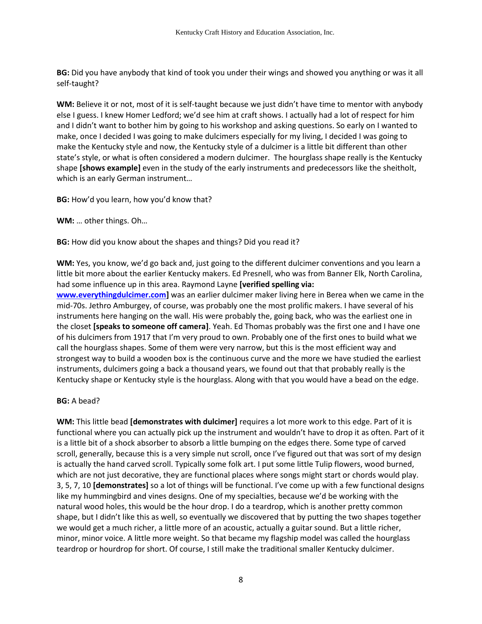**BG:** Did you have anybody that kind of took you under their wings and showed you anything or was it all self-taught?

**WM:** Believe it or not, most of it is self-taught because we just didn't have time to mentor with anybody else I guess. I knew Homer Ledford; we'd see him at craft shows. I actually had a lot of respect for him and I didn't want to bother him by going to his workshop and asking questions. So early on I wanted to make, once I decided I was going to make dulcimers especially for my living, I decided I was going to make the Kentucky style and now, the Kentucky style of a dulcimer is a little bit different than other state's style, or what is often considered a modern dulcimer. The hourglass shape really is the Kentucky shape **[shows example]** even in the study of the early instruments and predecessors like the sheitholt, which is an early German instrument…

**BG:** How'd you learn, how you'd know that?

**WM:** … other things. Oh…

**BG:** How did you know about the shapes and things? Did you read it?

**WM:** Yes, you know, we'd go back and, just going to the different dulcimer conventions and you learn a little bit more about the earlier Kentucky makers. Ed Presnell, who was from Banner Elk, North Carolina, had some influence up in this area. Raymond Layne **[verified spelling via: [www.everythingdulcimer.com\]](http://www.everythingdulcimer.com/)** was an earlier dulcimer maker living here in Berea when we came in the mid-70s. Jethro Amburgey, of course, was probably one the most prolific makers. I have several of his instruments here hanging on the wall. His were probably the, going back, who was the earliest one in the closet **[speaks to someone off camera]**. Yeah. Ed Thomas probably was the first one and I have one of his dulcimers from 1917 that I'm very proud to own. Probably one of the first ones to build what we call the hourglass shapes. Some of them were very narrow, but this is the most efficient way and strongest way to build a wooden box is the continuous curve and the more we have studied the earliest instruments, dulcimers going a back a thousand years, we found out that that probably really is the Kentucky shape or Kentucky style is the hourglass. Along with that you would have a bead on the edge.

### **BG:** A bead?

**WM:** This little bead **[demonstrates with dulcimer]** requires a lot more work to this edge. Part of it is functional where you can actually pick up the instrument and wouldn't have to drop it as often. Part of it is a little bit of a shock absorber to absorb a little bumping on the edges there. Some type of carved scroll, generally, because this is a very simple nut scroll, once I've figured out that was sort of my design is actually the hand carved scroll. Typically some folk art. I put some little Tulip flowers, wood burned, which are not just decorative, they are functional places where songs might start or chords would play. 3, 5, 7, 10 **[demonstrates]** so a lot of things will be functional. I've come up with a few functional designs like my hummingbird and vines designs. One of my specialties, because we'd be working with the natural wood holes, this would be the hour drop. I do a teardrop, which is another pretty common shape, but I didn't like this as well, so eventually we discovered that by putting the two shapes together we would get a much richer, a little more of an acoustic, actually a guitar sound. But a little richer, minor, minor voice. A little more weight. So that became my flagship model was called the hourglass teardrop or hourdrop for short. Of course, I still make the traditional smaller Kentucky dulcimer.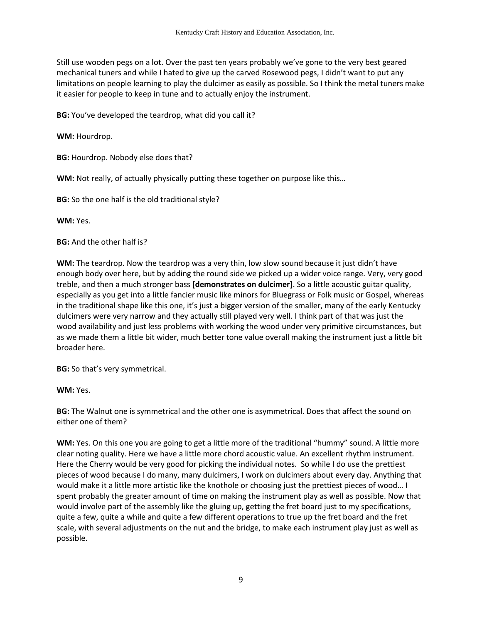Still use wooden pegs on a lot. Over the past ten years probably we've gone to the very best geared mechanical tuners and while I hated to give up the carved Rosewood pegs, I didn't want to put any limitations on people learning to play the dulcimer as easily as possible. So I think the metal tuners make it easier for people to keep in tune and to actually enjoy the instrument.

**BG:** You've developed the teardrop, what did you call it?

**WM:** Hourdrop.

**BG:** Hourdrop. Nobody else does that?

**WM:** Not really, of actually physically putting these together on purpose like this…

**BG:** So the one half is the old traditional style?

**WM:** Yes.

**BG:** And the other half is?

**WM:** The teardrop. Now the teardrop was a very thin, low slow sound because it just didn't have enough body over here, but by adding the round side we picked up a wider voice range. Very, very good treble, and then a much stronger bass **[demonstrates on dulcimer]**. So a little acoustic guitar quality, especially as you get into a little fancier music like minors for Bluegrass or Folk music or Gospel, whereas in the traditional shape like this one, it's just a bigger version of the smaller, many of the early Kentucky dulcimers were very narrow and they actually still played very well. I think part of that was just the wood availability and just less problems with working the wood under very primitive circumstances, but as we made them a little bit wider, much better tone value overall making the instrument just a little bit broader here.

**BG:** So that's very symmetrical.

**WM:** Yes.

**BG:** The Walnut one is symmetrical and the other one is asymmetrical. Does that affect the sound on either one of them?

**WM:** Yes. On this one you are going to get a little more of the traditional "hummy" sound. A little more clear noting quality. Here we have a little more chord acoustic value. An excellent rhythm instrument. Here the Cherry would be very good for picking the individual notes. So while I do use the prettiest pieces of wood because I do many, many dulcimers, I work on dulcimers about every day. Anything that would make it a little more artistic like the knothole or choosing just the prettiest pieces of wood… I spent probably the greater amount of time on making the instrument play as well as possible. Now that would involve part of the assembly like the gluing up, getting the fret board just to my specifications, quite a few, quite a while and quite a few different operations to true up the fret board and the fret scale, with several adjustments on the nut and the bridge, to make each instrument play just as well as possible.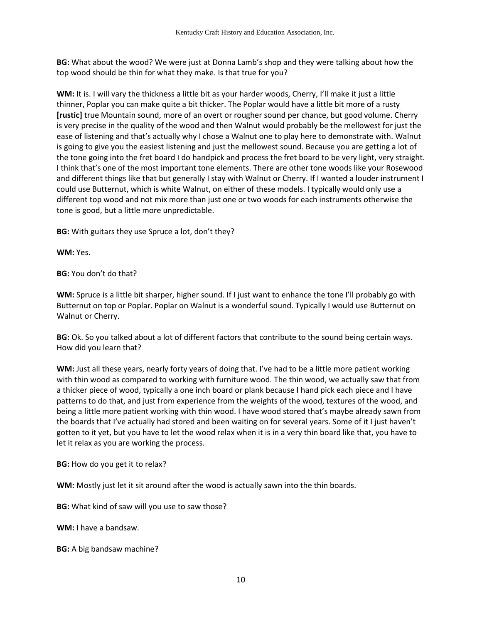**BG:** What about the wood? We were just at Donna Lamb's shop and they were talking about how the top wood should be thin for what they make. Is that true for you?

**WM:** It is. I will vary the thickness a little bit as your harder woods, Cherry, I'll make it just a little thinner, Poplar you can make quite a bit thicker. The Poplar would have a little bit more of a rusty **[rustic]** true Mountain sound, more of an overt or rougher sound per chance, but good volume. Cherry is very precise in the quality of the wood and then Walnut would probably be the mellowest for just the ease of listening and that's actually why I chose a Walnut one to play here to demonstrate with. Walnut is going to give you the easiest listening and just the mellowest sound. Because you are getting a lot of the tone going into the fret board I do handpick and process the fret board to be very light, very straight. I think that's one of the most important tone elements. There are other tone woods like your Rosewood and different things like that but generally I stay with Walnut or Cherry. If I wanted a louder instrument I could use Butternut, which is white Walnut, on either of these models. I typically would only use a different top wood and not mix more than just one or two woods for each instruments otherwise the tone is good, but a little more unpredictable.

**BG:** With guitars they use Spruce a lot, don't they?

**WM:** Yes.

**BG:** You don't do that?

**WM:** Spruce is a little bit sharper, higher sound. If I just want to enhance the tone I'll probably go with Butternut on top or Poplar. Poplar on Walnut is a wonderful sound. Typically I would use Butternut on Walnut or Cherry.

**BG:** Ok. So you talked about a lot of different factors that contribute to the sound being certain ways. How did you learn that?

**WM:** Just all these years, nearly forty years of doing that. I've had to be a little more patient working with thin wood as compared to working with furniture wood. The thin wood, we actually saw that from a thicker piece of wood, typically a one inch board or plank because I hand pick each piece and I have patterns to do that, and just from experience from the weights of the wood, textures of the wood, and being a little more patient working with thin wood. I have wood stored that's maybe already sawn from the boards that I've actually had stored and been waiting on for several years. Some of it I just haven't gotten to it yet, but you have to let the wood relax when it is in a very thin board like that, you have to let it relax as you are working the process.

**BG:** How do you get it to relax?

**WM:** Mostly just let it sit around after the wood is actually sawn into the thin boards.

**BG:** What kind of saw will you use to saw those?

**WM:** I have a bandsaw.

**BG:** A big bandsaw machine?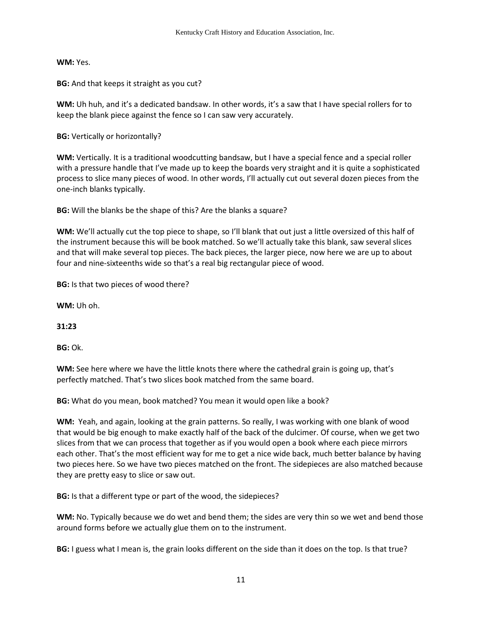#### **WM:** Yes.

**BG:** And that keeps it straight as you cut?

**WM:** Uh huh, and it's a dedicated bandsaw. In other words, it's a saw that I have special rollers for to keep the blank piece against the fence so I can saw very accurately.

**BG:** Vertically or horizontally?

**WM:** Vertically. It is a traditional woodcutting bandsaw, but I have a special fence and a special roller with a pressure handle that I've made up to keep the boards very straight and it is quite a sophisticated process to slice many pieces of wood. In other words, I'll actually cut out several dozen pieces from the one-inch blanks typically.

**BG:** Will the blanks be the shape of this? Are the blanks a square?

**WM:** We'll actually cut the top piece to shape, so I'll blank that out just a little oversized of this half of the instrument because this will be book matched. So we'll actually take this blank, saw several slices and that will make several top pieces. The back pieces, the larger piece, now here we are up to about four and nine-sixteenths wide so that's a real big rectangular piece of wood.

**BG:** Is that two pieces of wood there?

**WM:** Uh oh.

**31:23**

**BG:** Ok.

**WM:** See here where we have the little knots there where the cathedral grain is going up, that's perfectly matched. That's two slices book matched from the same board.

**BG:** What do you mean, book matched? You mean it would open like a book?

**WM:** Yeah, and again, looking at the grain patterns. So really, I was working with one blank of wood that would be big enough to make exactly half of the back of the dulcimer. Of course, when we get two slices from that we can process that together as if you would open a book where each piece mirrors each other. That's the most efficient way for me to get a nice wide back, much better balance by having two pieces here. So we have two pieces matched on the front. The sidepieces are also matched because they are pretty easy to slice or saw out.

**BG:** Is that a different type or part of the wood, the sidepieces?

**WM:** No. Typically because we do wet and bend them; the sides are very thin so we wet and bend those around forms before we actually glue them on to the instrument.

**BG:** I guess what I mean is, the grain looks different on the side than it does on the top. Is that true?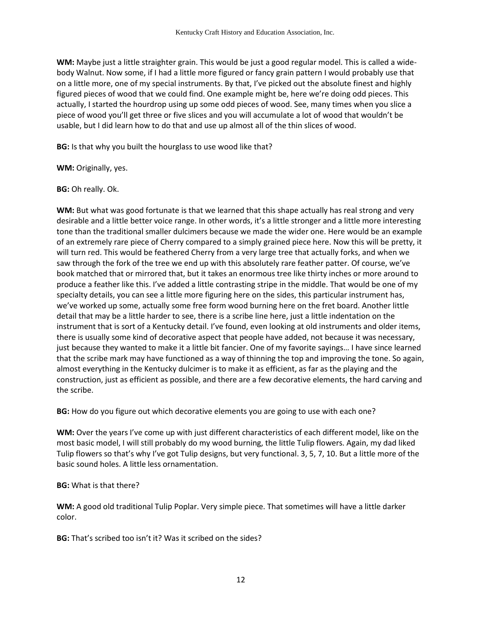**WM:** Maybe just a little straighter grain. This would be just a good regular model. This is called a widebody Walnut. Now some, if I had a little more figured or fancy grain pattern I would probably use that on a little more, one of my special instruments. By that, I've picked out the absolute finest and highly figured pieces of wood that we could find. One example might be, here we're doing odd pieces. This actually, I started the hourdrop using up some odd pieces of wood. See, many times when you slice a piece of wood you'll get three or five slices and you will accumulate a lot of wood that wouldn't be usable, but I did learn how to do that and use up almost all of the thin slices of wood.

**BG:** Is that why you built the hourglass to use wood like that?

**WM:** Originally, yes.

**BG:** Oh really. Ok.

**WM:** But what was good fortunate is that we learned that this shape actually has real strong and very desirable and a little better voice range. In other words, it's a little stronger and a little more interesting tone than the traditional smaller dulcimers because we made the wider one. Here would be an example of an extremely rare piece of Cherry compared to a simply grained piece here. Now this will be pretty, it will turn red. This would be feathered Cherry from a very large tree that actually forks, and when we saw through the fork of the tree we end up with this absolutely rare feather patter. Of course, we've book matched that or mirrored that, but it takes an enormous tree like thirty inches or more around to produce a feather like this. I've added a little contrasting stripe in the middle. That would be one of my specialty details, you can see a little more figuring here on the sides, this particular instrument has, we've worked up some, actually some free form wood burning here on the fret board. Another little detail that may be a little harder to see, there is a scribe line here, just a little indentation on the instrument that is sort of a Kentucky detail. I've found, even looking at old instruments and older items, there is usually some kind of decorative aspect that people have added, not because it was necessary, just because they wanted to make it a little bit fancier. One of my favorite sayings… I have since learned that the scribe mark may have functioned as a way of thinning the top and improving the tone. So again, almost everything in the Kentucky dulcimer is to make it as efficient, as far as the playing and the construction, just as efficient as possible, and there are a few decorative elements, the hard carving and the scribe.

**BG:** How do you figure out which decorative elements you are going to use with each one?

**WM:** Over the years I've come up with just different characteristics of each different model, like on the most basic model, I will still probably do my wood burning, the little Tulip flowers. Again, my dad liked Tulip flowers so that's why I've got Tulip designs, but very functional. 3, 5, 7, 10. But a little more of the basic sound holes. A little less ornamentation.

**BG:** What is that there?

**WM:** A good old traditional Tulip Poplar. Very simple piece. That sometimes will have a little darker color.

**BG:** That's scribed too isn't it? Was it scribed on the sides?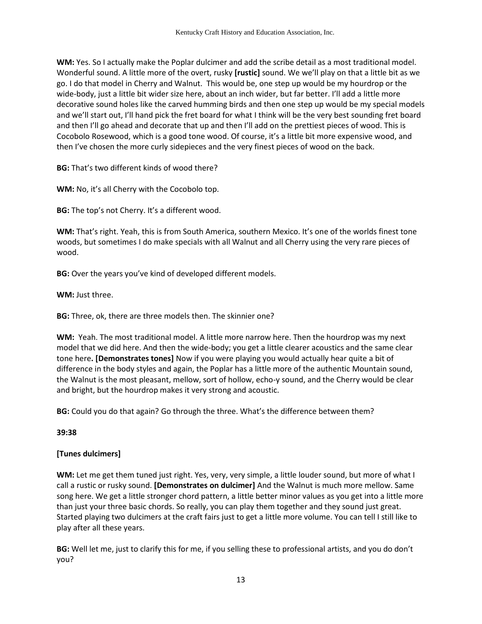**WM:** Yes. So I actually make the Poplar dulcimer and add the scribe detail as a most traditional model. Wonderful sound. A little more of the overt, rusky **[rustic]** sound. We we'll play on that a little bit as we go. I do that model in Cherry and Walnut. This would be, one step up would be my hourdrop or the wide-body, just a little bit wider size here, about an inch wider, but far better. I'll add a little more decorative sound holes like the carved humming birds and then one step up would be my special models and we'll start out, I'll hand pick the fret board for what I think will be the very best sounding fret board and then I'll go ahead and decorate that up and then I'll add on the prettiest pieces of wood. This is Cocobolo Rosewood, which is a good tone wood. Of course, it's a little bit more expensive wood, and then I've chosen the more curly sidepieces and the very finest pieces of wood on the back.

**BG:** That's two different kinds of wood there?

**WM:** No, it's all Cherry with the Cocobolo top.

**BG:** The top's not Cherry. It's a different wood.

**WM:** That's right. Yeah, this is from South America, southern Mexico. It's one of the worlds finest tone woods, but sometimes I do make specials with all Walnut and all Cherry using the very rare pieces of wood.

**BG:** Over the years you've kind of developed different models.

**WM:** Just three.

**BG:** Three, ok, there are three models then. The skinnier one?

**WM:** Yeah. The most traditional model. A little more narrow here. Then the hourdrop was my next model that we did here. And then the wide-body; you get a little clearer acoustics and the same clear tone here**. [Demonstrates tones]** Now if you were playing you would actually hear quite a bit of difference in the body styles and again, the Poplar has a little more of the authentic Mountain sound, the Walnut is the most pleasant, mellow, sort of hollow, echo-y sound, and the Cherry would be clear and bright, but the hourdrop makes it very strong and acoustic.

**BG:** Could you do that again? Go through the three. What's the difference between them?

**39:38**

# **[Tunes dulcimers]**

**WM:** Let me get them tuned just right. Yes, very, very simple, a little louder sound, but more of what I call a rustic or rusky sound. **[Demonstrates on dulcimer]** And the Walnut is much more mellow. Same song here. We get a little stronger chord pattern, a little better minor values as you get into a little more than just your three basic chords. So really, you can play them together and they sound just great. Started playing two dulcimers at the craft fairs just to get a little more volume. You can tell I still like to play after all these years.

**BG:** Well let me, just to clarify this for me, if you selling these to professional artists, and you do don't you?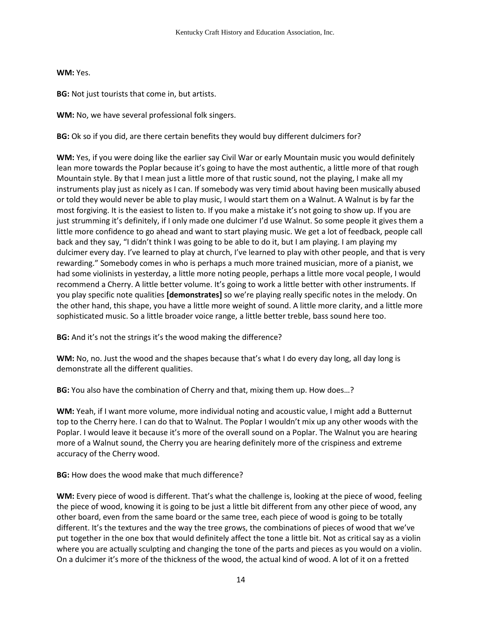**WM:** Yes.

**BG:** Not just tourists that come in, but artists.

**WM:** No, we have several professional folk singers.

**BG:** Ok so if you did, are there certain benefits they would buy different dulcimers for?

**WM:** Yes, if you were doing like the earlier say Civil War or early Mountain music you would definitely lean more towards the Poplar because it's going to have the most authentic, a little more of that rough Mountain style. By that I mean just a little more of that rustic sound, not the playing, I make all my instruments play just as nicely as I can. If somebody was very timid about having been musically abused or told they would never be able to play music, I would start them on a Walnut. A Walnut is by far the most forgiving. It is the easiest to listen to. If you make a mistake it's not going to show up. If you are just strumming it's definitely, if I only made one dulcimer I'd use Walnut. So some people it gives them a little more confidence to go ahead and want to start playing music. We get a lot of feedback, people call back and they say, "I didn't think I was going to be able to do it, but I am playing. I am playing my dulcimer every day. I've learned to play at church, I've learned to play with other people, and that is very rewarding." Somebody comes in who is perhaps a much more trained musician, more of a pianist, we had some violinists in yesterday, a little more noting people, perhaps a little more vocal people, I would recommend a Cherry. A little better volume. It's going to work a little better with other instruments. If you play specific note qualities **[demonstrates]** so we're playing really specific notes in the melody. On the other hand, this shape, you have a little more weight of sound. A little more clarity, and a little more sophisticated music. So a little broader voice range, a little better treble, bass sound here too.

**BG:** And it's not the strings it's the wood making the difference?

**WM:** No, no. Just the wood and the shapes because that's what I do every day long, all day long is demonstrate all the different qualities.

**BG:** You also have the combination of Cherry and that, mixing them up. How does…?

**WM:** Yeah, if I want more volume, more individual noting and acoustic value, I might add a Butternut top to the Cherry here. I can do that to Walnut. The Poplar I wouldn't mix up any other woods with the Poplar. I would leave it because it's more of the overall sound on a Poplar. The Walnut you are hearing more of a Walnut sound, the Cherry you are hearing definitely more of the crispiness and extreme accuracy of the Cherry wood.

# **BG:** How does the wood make that much difference?

**WM:** Every piece of wood is different. That's what the challenge is, looking at the piece of wood, feeling the piece of wood, knowing it is going to be just a little bit different from any other piece of wood, any other board, even from the same board or the same tree, each piece of wood is going to be totally different. It's the textures and the way the tree grows, the combinations of pieces of wood that we've put together in the one box that would definitely affect the tone a little bit. Not as critical say as a violin where you are actually sculpting and changing the tone of the parts and pieces as you would on a violin. On a dulcimer it's more of the thickness of the wood, the actual kind of wood. A lot of it on a fretted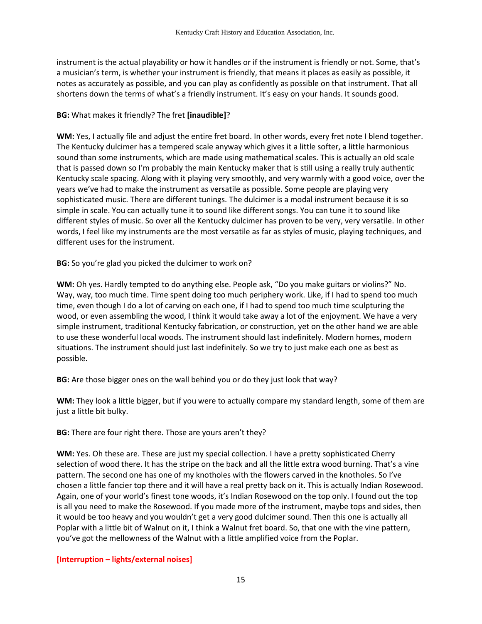instrument is the actual playability or how it handles or if the instrument is friendly or not. Some, that's a musician's term, is whether your instrument is friendly, that means it places as easily as possible, it notes as accurately as possible, and you can play as confidently as possible on that instrument. That all shortens down the terms of what's a friendly instrument. It's easy on your hands. It sounds good.

# **BG:** What makes it friendly? The fret **[inaudible]**?

**WM:** Yes, I actually file and adjust the entire fret board. In other words, every fret note I blend together. The Kentucky dulcimer has a tempered scale anyway which gives it a little softer, a little harmonious sound than some instruments, which are made using mathematical scales. This is actually an old scale that is passed down so I'm probably the main Kentucky maker that is still using a really truly authentic Kentucky scale spacing. Along with it playing very smoothly, and very warmly with a good voice, over the years we've had to make the instrument as versatile as possible. Some people are playing very sophisticated music. There are different tunings. The dulcimer is a modal instrument because it is so simple in scale. You can actually tune it to sound like different songs. You can tune it to sound like different styles of music. So over all the Kentucky dulcimer has proven to be very, very versatile. In other words, I feel like my instruments are the most versatile as far as styles of music, playing techniques, and different uses for the instrument.

**BG:** So you're glad you picked the dulcimer to work on?

**WM:** Oh yes. Hardly tempted to do anything else. People ask, "Do you make guitars or violins?" No. Way, way, too much time. Time spent doing too much periphery work. Like, if I had to spend too much time, even though I do a lot of carving on each one, if I had to spend too much time sculpturing the wood, or even assembling the wood, I think it would take away a lot of the enjoyment. We have a very simple instrument, traditional Kentucky fabrication, or construction, yet on the other hand we are able to use these wonderful local woods. The instrument should last indefinitely. Modern homes, modern situations. The instrument should just last indefinitely. So we try to just make each one as best as possible.

**BG:** Are those bigger ones on the wall behind you or do they just look that way?

**WM:** They look a little bigger, but if you were to actually compare my standard length, some of them are just a little bit bulky.

**BG:** There are four right there. Those are yours aren't they?

**WM:** Yes. Oh these are. These are just my special collection. I have a pretty sophisticated Cherry selection of wood there. It has the stripe on the back and all the little extra wood burning. That's a vine pattern. The second one has one of my knotholes with the flowers carved in the knotholes. So I've chosen a little fancier top there and it will have a real pretty back on it. This is actually Indian Rosewood. Again, one of your world's finest tone woods, it's Indian Rosewood on the top only. I found out the top is all you need to make the Rosewood. If you made more of the instrument, maybe tops and sides, then it would be too heavy and you wouldn't get a very good dulcimer sound. Then this one is actually all Poplar with a little bit of Walnut on it, I think a Walnut fret board. So, that one with the vine pattern, you've got the mellowness of the Walnut with a little amplified voice from the Poplar.

# **[Interruption – lights/external noises]**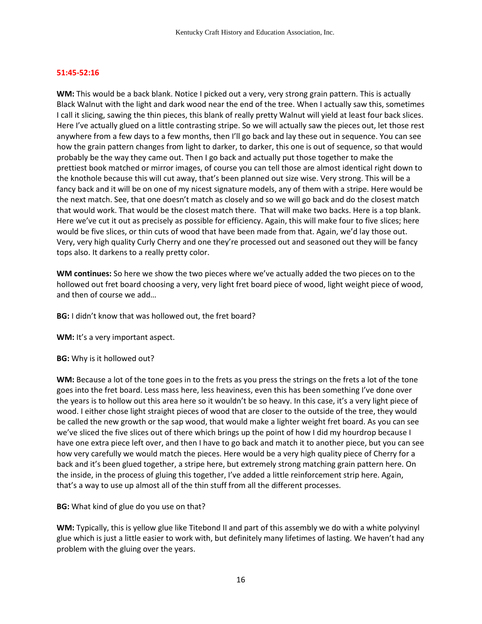#### **51:45-52:16**

**WM:** This would be a back blank. Notice I picked out a very, very strong grain pattern. This is actually Black Walnut with the light and dark wood near the end of the tree. When I actually saw this, sometimes I call it slicing, sawing the thin pieces, this blank of really pretty Walnut will yield at least four back slices. Here I've actually glued on a little contrasting stripe. So we will actually saw the pieces out, let those rest anywhere from a few days to a few months, then I'll go back and lay these out in sequence. You can see how the grain pattern changes from light to darker, to darker, this one is out of sequence, so that would probably be the way they came out. Then I go back and actually put those together to make the prettiest book matched or mirror images, of course you can tell those are almost identical right down to the knothole because this will cut away, that's been planned out size wise. Very strong. This will be a fancy back and it will be on one of my nicest signature models, any of them with a stripe. Here would be the next match. See, that one doesn't match as closely and so we will go back and do the closest match that would work. That would be the closest match there. That will make two backs. Here is a top blank. Here we've cut it out as precisely as possible for efficiency. Again, this will make four to five slices; here would be five slices, or thin cuts of wood that have been made from that. Again, we'd lay those out. Very, very high quality Curly Cherry and one they're processed out and seasoned out they will be fancy tops also. It darkens to a really pretty color.

**WM continues:** So here we show the two pieces where we've actually added the two pieces on to the hollowed out fret board choosing a very, very light fret board piece of wood, light weight piece of wood, and then of course we add…

**BG:** I didn't know that was hollowed out, the fret board?

WM: It's a very important aspect.

**BG:** Why is it hollowed out?

**WM:** Because a lot of the tone goes in to the frets as you press the strings on the frets a lot of the tone goes into the fret board. Less mass here, less heaviness, even this has been something I've done over the years is to hollow out this area here so it wouldn't be so heavy. In this case, it's a very light piece of wood. I either chose light straight pieces of wood that are closer to the outside of the tree, they would be called the new growth or the sap wood, that would make a lighter weight fret board. As you can see we've sliced the five slices out of there which brings up the point of how I did my hourdrop because I have one extra piece left over, and then I have to go back and match it to another piece, but you can see how very carefully we would match the pieces. Here would be a very high quality piece of Cherry for a back and it's been glued together, a stripe here, but extremely strong matching grain pattern here. On the inside, in the process of gluing this together, I've added a little reinforcement strip here. Again, that's a way to use up almost all of the thin stuff from all the different processes.

**BG:** What kind of glue do you use on that?

**WM:** Typically, this is yellow glue like Titebond II and part of this assembly we do with a white polyvinyl glue which is just a little easier to work with, but definitely many lifetimes of lasting. We haven't had any problem with the gluing over the years.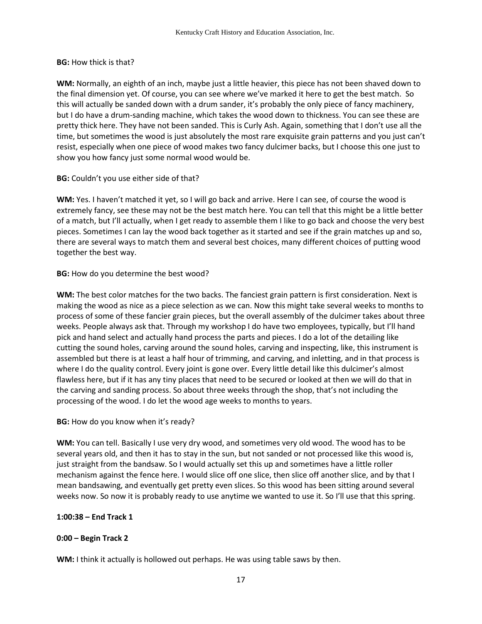#### **BG:** How thick is that?

**WM:** Normally, an eighth of an inch, maybe just a little heavier, this piece has not been shaved down to the final dimension yet. Of course, you can see where we've marked it here to get the best match. So this will actually be sanded down with a drum sander, it's probably the only piece of fancy machinery, but I do have a drum-sanding machine, which takes the wood down to thickness. You can see these are pretty thick here. They have not been sanded. This is Curly Ash. Again, something that I don't use all the time, but sometimes the wood is just absolutely the most rare exquisite grain patterns and you just can't resist, especially when one piece of wood makes two fancy dulcimer backs, but I choose this one just to show you how fancy just some normal wood would be.

#### **BG:** Couldn't you use either side of that?

**WM:** Yes. I haven't matched it yet, so I will go back and arrive. Here I can see, of course the wood is extremely fancy, see these may not be the best match here. You can tell that this might be a little better of a match, but I'll actually, when I get ready to assemble them I like to go back and choose the very best pieces. Sometimes I can lay the wood back together as it started and see if the grain matches up and so, there are several ways to match them and several best choices, many different choices of putting wood together the best way.

### **BG:** How do you determine the best wood?

**WM:** The best color matches for the two backs. The fanciest grain pattern is first consideration. Next is making the wood as nice as a piece selection as we can. Now this might take several weeks to months to process of some of these fancier grain pieces, but the overall assembly of the dulcimer takes about three weeks. People always ask that. Through my workshop I do have two employees, typically, but I'll hand pick and hand select and actually hand process the parts and pieces. I do a lot of the detailing like cutting the sound holes, carving around the sound holes, carving and inspecting, like, this instrument is assembled but there is at least a half hour of trimming, and carving, and inletting, and in that process is where I do the quality control. Every joint is gone over. Every little detail like this dulcimer's almost flawless here, but if it has any tiny places that need to be secured or looked at then we will do that in the carving and sanding process. So about three weeks through the shop, that's not including the processing of the wood. I do let the wood age weeks to months to years.

### **BG:** How do you know when it's ready?

**WM:** You can tell. Basically I use very dry wood, and sometimes very old wood. The wood has to be several years old, and then it has to stay in the sun, but not sanded or not processed like this wood is, just straight from the bandsaw. So I would actually set this up and sometimes have a little roller mechanism against the fence here. I would slice off one slice, then slice off another slice, and by that I mean bandsawing, and eventually get pretty even slices. So this wood has been sitting around several weeks now. So now it is probably ready to use anytime we wanted to use it. So I'll use that this spring.

### **1:00:38 – End Track 1**

### **0:00 – Begin Track 2**

**WM:** I think it actually is hollowed out perhaps. He was using table saws by then.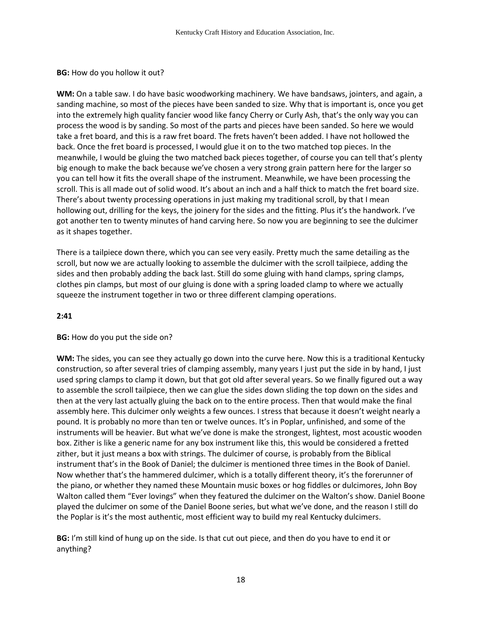#### **BG:** How do you hollow it out?

**WM:** On a table saw. I do have basic woodworking machinery. We have bandsaws, jointers, and again, a sanding machine, so most of the pieces have been sanded to size. Why that is important is, once you get into the extremely high quality fancier wood like fancy Cherry or Curly Ash, that's the only way you can process the wood is by sanding. So most of the parts and pieces have been sanded. So here we would take a fret board, and this is a raw fret board. The frets haven't been added. I have not hollowed the back. Once the fret board is processed, I would glue it on to the two matched top pieces. In the meanwhile, I would be gluing the two matched back pieces together, of course you can tell that's plenty big enough to make the back because we've chosen a very strong grain pattern here for the larger so you can tell how it fits the overall shape of the instrument. Meanwhile, we have been processing the scroll. This is all made out of solid wood. It's about an inch and a half thick to match the fret board size. There's about twenty processing operations in just making my traditional scroll, by that I mean hollowing out, drilling for the keys, the joinery for the sides and the fitting. Plus it's the handwork. I've got another ten to twenty minutes of hand carving here. So now you are beginning to see the dulcimer as it shapes together.

There is a tailpiece down there, which you can see very easily. Pretty much the same detailing as the scroll, but now we are actually looking to assemble the dulcimer with the scroll tailpiece, adding the sides and then probably adding the back last. Still do some gluing with hand clamps, spring clamps, clothes pin clamps, but most of our gluing is done with a spring loaded clamp to where we actually squeeze the instrument together in two or three different clamping operations.

#### **2:41**

#### **BG:** How do you put the side on?

**WM:** The sides, you can see they actually go down into the curve here. Now this is a traditional Kentucky construction, so after several tries of clamping assembly, many years I just put the side in by hand, I just used spring clamps to clamp it down, but that got old after several years. So we finally figured out a way to assemble the scroll tailpiece, then we can glue the sides down sliding the top down on the sides and then at the very last actually gluing the back on to the entire process. Then that would make the final assembly here. This dulcimer only weights a few ounces. I stress that because it doesn't weight nearly a pound. It is probably no more than ten or twelve ounces. It's in Poplar, unfinished, and some of the instruments will be heavier. But what we've done is make the strongest, lightest, most acoustic wooden box. Zither is like a generic name for any box instrument like this, this would be considered a fretted zither, but it just means a box with strings. The dulcimer of course, is probably from the Biblical instrument that's in the Book of Daniel; the dulcimer is mentioned three times in the Book of Daniel. Now whether that's the hammered dulcimer, which is a totally different theory, it's the forerunner of the piano, or whether they named these Mountain music boxes or hog fiddles or dulcimores, John Boy Walton called them "Ever lovings" when they featured the dulcimer on the Walton's show. Daniel Boone played the dulcimer on some of the Daniel Boone series, but what we've done, and the reason I still do the Poplar is it's the most authentic, most efficient way to build my real Kentucky dulcimers.

**BG:** I'm still kind of hung up on the side. Is that cut out piece, and then do you have to end it or anything?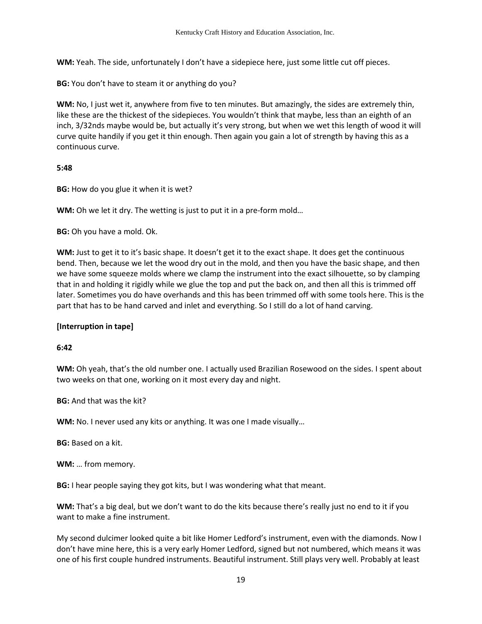**WM:** Yeah. The side, unfortunately I don't have a sidepiece here, just some little cut off pieces.

**BG:** You don't have to steam it or anything do you?

**WM:** No, I just wet it, anywhere from five to ten minutes. But amazingly, the sides are extremely thin, like these are the thickest of the sidepieces. You wouldn't think that maybe, less than an eighth of an inch, 3/32nds maybe would be, but actually it's very strong, but when we wet this length of wood it will curve quite handily if you get it thin enough. Then again you gain a lot of strength by having this as a continuous curve.

### **5:48**

**BG:** How do you glue it when it is wet?

**WM:** Oh we let it dry. The wetting is just to put it in a pre-form mold…

**BG:** Oh you have a mold. Ok.

**WM:** Just to get it to it's basic shape. It doesn't get it to the exact shape. It does get the continuous bend. Then, because we let the wood dry out in the mold, and then you have the basic shape, and then we have some squeeze molds where we clamp the instrument into the exact silhouette, so by clamping that in and holding it rigidly while we glue the top and put the back on, and then all this is trimmed off later. Sometimes you do have overhands and this has been trimmed off with some tools here. This is the part that has to be hand carved and inlet and everything. So I still do a lot of hand carving.

# **[Interruption in tape]**

### **6:42**

**WM:** Oh yeah, that's the old number one. I actually used Brazilian Rosewood on the sides. I spent about two weeks on that one, working on it most every day and night.

**BG:** And that was the kit?

**WM:** No. I never used any kits or anything. It was one I made visually…

**BG:** Based on a kit.

**WM:** … from memory.

**BG:** I hear people saying they got kits, but I was wondering what that meant.

**WM:** That's a big deal, but we don't want to do the kits because there's really just no end to it if you want to make a fine instrument.

My second dulcimer looked quite a bit like Homer Ledford's instrument, even with the diamonds. Now I don't have mine here, this is a very early Homer Ledford, signed but not numbered, which means it was one of his first couple hundred instruments. Beautiful instrument. Still plays very well. Probably at least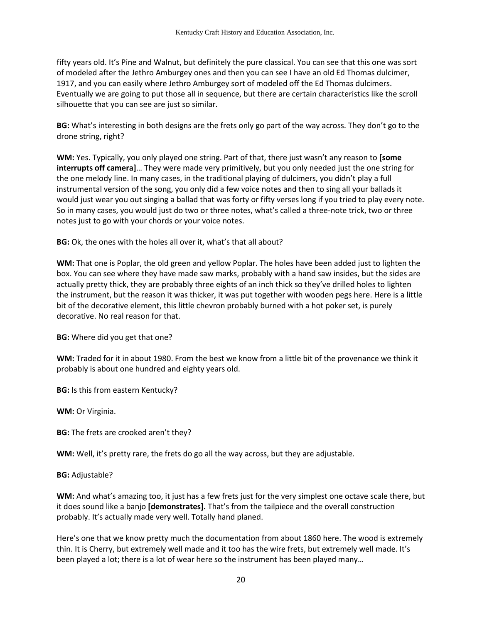fifty years old. It's Pine and Walnut, but definitely the pure classical. You can see that this one was sort of modeled after the Jethro Amburgey ones and then you can see I have an old Ed Thomas dulcimer, 1917, and you can easily where Jethro Amburgey sort of modeled off the Ed Thomas dulcimers. Eventually we are going to put those all in sequence, but there are certain characteristics like the scroll silhouette that you can see are just so similar.

**BG:** What's interesting in both designs are the frets only go part of the way across. They don't go to the drone string, right?

**WM:** Yes. Typically, you only played one string. Part of that, there just wasn't any reason to **[some interrupts off camera]**… They were made very primitively, but you only needed just the one string for the one melody line. In many cases, in the traditional playing of dulcimers, you didn't play a full instrumental version of the song, you only did a few voice notes and then to sing all your ballads it would just wear you out singing a ballad that was forty or fifty verses long if you tried to play every note. So in many cases, you would just do two or three notes, what's called a three-note trick, two or three notes just to go with your chords or your voice notes.

**BG:** Ok, the ones with the holes all over it, what's that all about?

**WM:** That one is Poplar, the old green and yellow Poplar. The holes have been added just to lighten the box. You can see where they have made saw marks, probably with a hand saw insides, but the sides are actually pretty thick, they are probably three eights of an inch thick so they've drilled holes to lighten the instrument, but the reason it was thicker, it was put together with wooden pegs here. Here is a little bit of the decorative element, this little chevron probably burned with a hot poker set, is purely decorative. No real reason for that.

**BG:** Where did you get that one?

**WM:** Traded for it in about 1980. From the best we know from a little bit of the provenance we think it probably is about one hundred and eighty years old.

**BG:** Is this from eastern Kentucky?

**WM:** Or Virginia.

**BG:** The frets are crooked aren't they?

**WM:** Well, it's pretty rare, the frets do go all the way across, but they are adjustable.

**BG:** Adjustable?

**WM:** And what's amazing too, it just has a few frets just for the very simplest one octave scale there, but it does sound like a banjo **[demonstrates].** That's from the tailpiece and the overall construction probably. It's actually made very well. Totally hand planed.

Here's one that we know pretty much the documentation from about 1860 here. The wood is extremely thin. It is Cherry, but extremely well made and it too has the wire frets, but extremely well made. It's been played a lot; there is a lot of wear here so the instrument has been played many…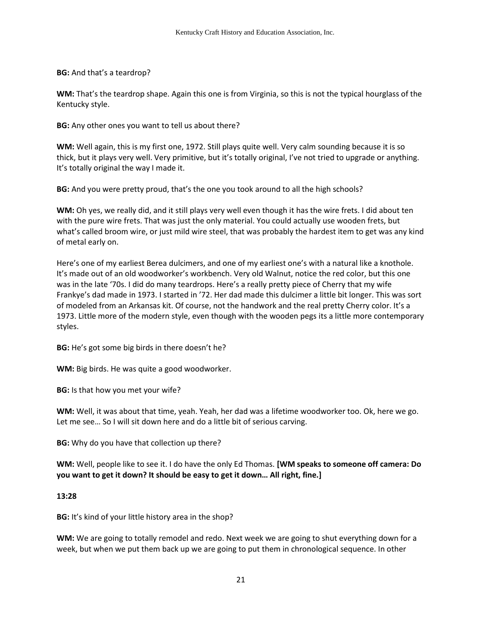**BG:** And that's a teardrop?

**WM:** That's the teardrop shape. Again this one is from Virginia, so this is not the typical hourglass of the Kentucky style.

**BG:** Any other ones you want to tell us about there?

**WM:** Well again, this is my first one, 1972. Still plays quite well. Very calm sounding because it is so thick, but it plays very well. Very primitive, but it's totally original, I've not tried to upgrade or anything. It's totally original the way I made it.

**BG:** And you were pretty proud, that's the one you took around to all the high schools?

**WM:** Oh yes, we really did, and it still plays very well even though it has the wire frets. I did about ten with the pure wire frets. That was just the only material. You could actually use wooden frets, but what's called broom wire, or just mild wire steel, that was probably the hardest item to get was any kind of metal early on.

Here's one of my earliest Berea dulcimers, and one of my earliest one's with a natural like a knothole. It's made out of an old woodworker's workbench. Very old Walnut, notice the red color, but this one was in the late '70s. I did do many teardrops. Here's a really pretty piece of Cherry that my wife Frankye's dad made in 1973. I started in '72. Her dad made this dulcimer a little bit longer. This was sort of modeled from an Arkansas kit. Of course, not the handwork and the real pretty Cherry color. It's a 1973. Little more of the modern style, even though with the wooden pegs its a little more contemporary styles.

**BG:** He's got some big birds in there doesn't he?

**WM:** Big birds. He was quite a good woodworker.

**BG:** Is that how you met your wife?

**WM:** Well, it was about that time, yeah. Yeah, her dad was a lifetime woodworker too. Ok, here we go. Let me see… So I will sit down here and do a little bit of serious carving.

**BG:** Why do you have that collection up there?

**WM:** Well, people like to see it. I do have the only Ed Thomas. **[WM speaks to someone off camera: Do you want to get it down? It should be easy to get it down… All right, fine.]** 

#### **13:28**

**BG:** It's kind of your little history area in the shop?

**WM:** We are going to totally remodel and redo. Next week we are going to shut everything down for a week, but when we put them back up we are going to put them in chronological sequence. In other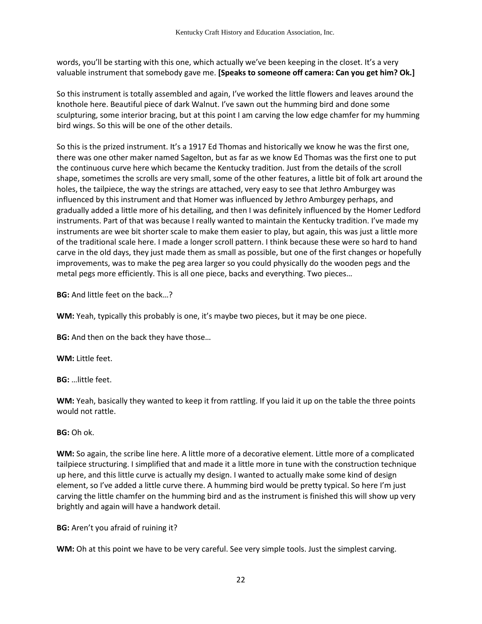words, you'll be starting with this one, which actually we've been keeping in the closet. It's a very valuable instrument that somebody gave me. **[Speaks to someone off camera: Can you get him? Ok.]**

So this instrument is totally assembled and again, I've worked the little flowers and leaves around the knothole here. Beautiful piece of dark Walnut. I've sawn out the humming bird and done some sculpturing, some interior bracing, but at this point I am carving the low edge chamfer for my humming bird wings. So this will be one of the other details.

So this is the prized instrument. It's a 1917 Ed Thomas and historically we know he was the first one, there was one other maker named Sagelton, but as far as we know Ed Thomas was the first one to put the continuous curve here which became the Kentucky tradition. Just from the details of the scroll shape, sometimes the scrolls are very small, some of the other features, a little bit of folk art around the holes, the tailpiece, the way the strings are attached, very easy to see that Jethro Amburgey was influenced by this instrument and that Homer was influenced by Jethro Amburgey perhaps, and gradually added a little more of his detailing, and then I was definitely influenced by the Homer Ledford instruments. Part of that was because I really wanted to maintain the Kentucky tradition. I've made my instruments are wee bit shorter scale to make them easier to play, but again, this was just a little more of the traditional scale here. I made a longer scroll pattern. I think because these were so hard to hand carve in the old days, they just made them as small as possible, but one of the first changes or hopefully improvements, was to make the peg area larger so you could physically do the wooden pegs and the metal pegs more efficiently. This is all one piece, backs and everything. Two pieces…

**BG:** And little feet on the back…?

**WM:** Yeah, typically this probably is one, it's maybe two pieces, but it may be one piece.

**BG:** And then on the back they have those…

**WM:** Little feet.

**BG:** …little feet.

**WM:** Yeah, basically they wanted to keep it from rattling. If you laid it up on the table the three points would not rattle.

**BG:** Oh ok.

**WM:** So again, the scribe line here. A little more of a decorative element. Little more of a complicated tailpiece structuring. I simplified that and made it a little more in tune with the construction technique up here, and this little curve is actually my design. I wanted to actually make some kind of design element, so I've added a little curve there. A humming bird would be pretty typical. So here I'm just carving the little chamfer on the humming bird and as the instrument is finished this will show up very brightly and again will have a handwork detail.

**BG:** Aren't you afraid of ruining it?

**WM:** Oh at this point we have to be very careful. See very simple tools. Just the simplest carving.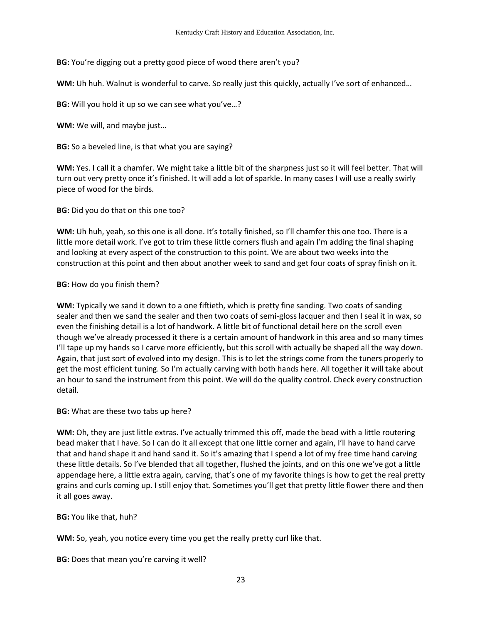**BG:** You're digging out a pretty good piece of wood there aren't you?

**WM:** Uh huh. Walnut is wonderful to carve. So really just this quickly, actually I've sort of enhanced…

**BG:** Will you hold it up so we can see what you've…?

**WM:** We will, and maybe just…

**BG:** So a beveled line, is that what you are saying?

**WM:** Yes. I call it a chamfer. We might take a little bit of the sharpness just so it will feel better. That will turn out very pretty once it's finished. It will add a lot of sparkle. In many cases I will use a really swirly piece of wood for the birds.

**BG:** Did you do that on this one too?

**WM:** Uh huh, yeah, so this one is all done. It's totally finished, so I'll chamfer this one too. There is a little more detail work. I've got to trim these little corners flush and again I'm adding the final shaping and looking at every aspect of the construction to this point. We are about two weeks into the construction at this point and then about another week to sand and get four coats of spray finish on it.

# **BG:** How do you finish them?

**WM:** Typically we sand it down to a one fiftieth, which is pretty fine sanding. Two coats of sanding sealer and then we sand the sealer and then two coats of semi-gloss lacquer and then I seal it in wax, so even the finishing detail is a lot of handwork. A little bit of functional detail here on the scroll even though we've already processed it there is a certain amount of handwork in this area and so many times I'll tape up my hands so I carve more efficiently, but this scroll with actually be shaped all the way down. Again, that just sort of evolved into my design. This is to let the strings come from the tuners properly to get the most efficient tuning. So I'm actually carving with both hands here. All together it will take about an hour to sand the instrument from this point. We will do the quality control. Check every construction detail.

**BG:** What are these two tabs up here?

**WM:** Oh, they are just little extras. I've actually trimmed this off, made the bead with a little routering bead maker that I have. So I can do it all except that one little corner and again, I'll have to hand carve that and hand shape it and hand sand it. So it's amazing that I spend a lot of my free time hand carving these little details. So I've blended that all together, flushed the joints, and on this one we've got a little appendage here, a little extra again, carving, that's one of my favorite things is how to get the real pretty grains and curls coming up. I still enjoy that. Sometimes you'll get that pretty little flower there and then it all goes away.

**BG:** You like that, huh?

**WM:** So, yeah, you notice every time you get the really pretty curl like that.

**BG:** Does that mean you're carving it well?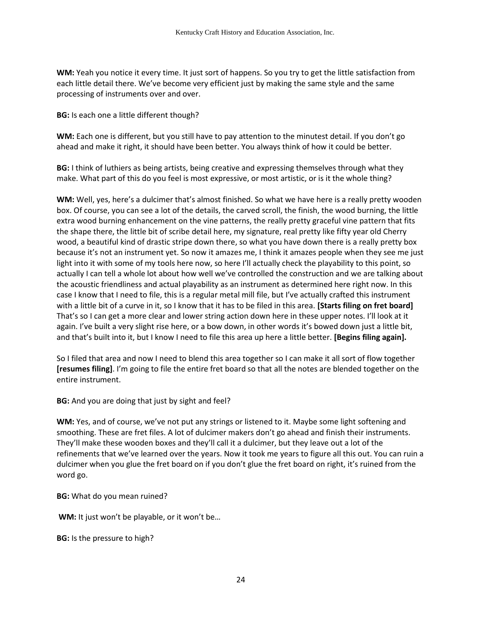**WM:** Yeah you notice it every time. It just sort of happens. So you try to get the little satisfaction from each little detail there. We've become very efficient just by making the same style and the same processing of instruments over and over.

**BG:** Is each one a little different though?

**WM:** Each one is different, but you still have to pay attention to the minutest detail. If you don't go ahead and make it right, it should have been better. You always think of how it could be better.

**BG:** I think of luthiers as being artists, being creative and expressing themselves through what they make. What part of this do you feel is most expressive, or most artistic, or is it the whole thing?

**WM:** Well, yes, here's a dulcimer that's almost finished. So what we have here is a really pretty wooden box. Of course, you can see a lot of the details, the carved scroll, the finish, the wood burning, the little extra wood burning enhancement on the vine patterns, the really pretty graceful vine pattern that fits the shape there, the little bit of scribe detail here, my signature, real pretty like fifty year old Cherry wood, a beautiful kind of drastic stripe down there, so what you have down there is a really pretty box because it's not an instrument yet. So now it amazes me, I think it amazes people when they see me just light into it with some of my tools here now, so here I'll actually check the playability to this point, so actually I can tell a whole lot about how well we've controlled the construction and we are talking about the acoustic friendliness and actual playability as an instrument as determined here right now. In this case I know that I need to file, this is a regular metal mill file, but I've actually crafted this instrument with a little bit of a curve in it, so I know that it has to be filed in this area. **[Starts filing on fret board]** That's so I can get a more clear and lower string action down here in these upper notes. I'll look at it again. I've built a very slight rise here, or a bow down, in other words it's bowed down just a little bit, and that's built into it, but I know I need to file this area up here a little better. **[Begins filing again].** 

So I filed that area and now I need to blend this area together so I can make it all sort of flow together **[resumes filing]**. I'm going to file the entire fret board so that all the notes are blended together on the entire instrument.

**BG:** And you are doing that just by sight and feel?

**WM:** Yes, and of course, we've not put any strings or listened to it. Maybe some light softening and smoothing. These are fret files. A lot of dulcimer makers don't go ahead and finish their instruments. They'll make these wooden boxes and they'll call it a dulcimer, but they leave out a lot of the refinements that we've learned over the years. Now it took me years to figure all this out. You can ruin a dulcimer when you glue the fret board on if you don't glue the fret board on right, it's ruined from the word go.

**BG:** What do you mean ruined?

**WM:** It just won't be playable, or it won't be…

**BG:** Is the pressure to high?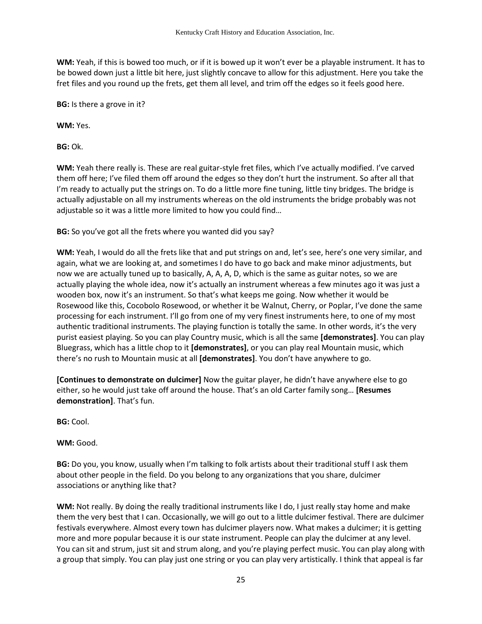**WM:** Yeah, if this is bowed too much, or if it is bowed up it won't ever be a playable instrument. It has to be bowed down just a little bit here, just slightly concave to allow for this adjustment. Here you take the fret files and you round up the frets, get them all level, and trim off the edges so it feels good here.

**BG:** Is there a grove in it?

**WM:** Yes.

**BG:** Ok.

**WM:** Yeah there really is. These are real guitar-style fret files, which I've actually modified. I've carved them off here; I've filed them off around the edges so they don't hurt the instrument. So after all that I'm ready to actually put the strings on. To do a little more fine tuning, little tiny bridges. The bridge is actually adjustable on all my instruments whereas on the old instruments the bridge probably was not adjustable so it was a little more limited to how you could find…

**BG:** So you've got all the frets where you wanted did you say?

**WM:** Yeah, I would do all the frets like that and put strings on and, let's see, here's one very similar, and again, what we are looking at, and sometimes I do have to go back and make minor adjustments, but now we are actually tuned up to basically, A, A, A, D, which is the same as guitar notes, so we are actually playing the whole idea, now it's actually an instrument whereas a few minutes ago it was just a wooden box, now it's an instrument. So that's what keeps me going. Now whether it would be Rosewood like this, Cocobolo Rosewood, or whether it be Walnut, Cherry, or Poplar, I've done the same processing for each instrument. I'll go from one of my very finest instruments here, to one of my most authentic traditional instruments. The playing function is totally the same. In other words, it's the very purist easiest playing. So you can play Country music, which is all the same **[demonstrates]**. You can play Bluegrass, which has a little chop to it **[demonstrates]**, or you can play real Mountain music, which there's no rush to Mountain music at all **[demonstrates]**. You don't have anywhere to go.

**[Continues to demonstrate on dulcimer]** Now the guitar player, he didn't have anywhere else to go either, so he would just take off around the house. That's an old Carter family song… **[Resumes demonstration]**. That's fun.

**BG:** Cool.

**WM:** Good.

**BG:** Do you, you know, usually when I'm talking to folk artists about their traditional stuff I ask them about other people in the field. Do you belong to any organizations that you share, dulcimer associations or anything like that?

**WM:** Not really. By doing the really traditional instruments like I do, I just really stay home and make them the very best that I can. Occasionally, we will go out to a little dulcimer festival. There are dulcimer festivals everywhere. Almost every town has dulcimer players now. What makes a dulcimer; it is getting more and more popular because it is our state instrument. People can play the dulcimer at any level. You can sit and strum, just sit and strum along, and you're playing perfect music. You can play along with a group that simply. You can play just one string or you can play very artistically. I think that appeal is far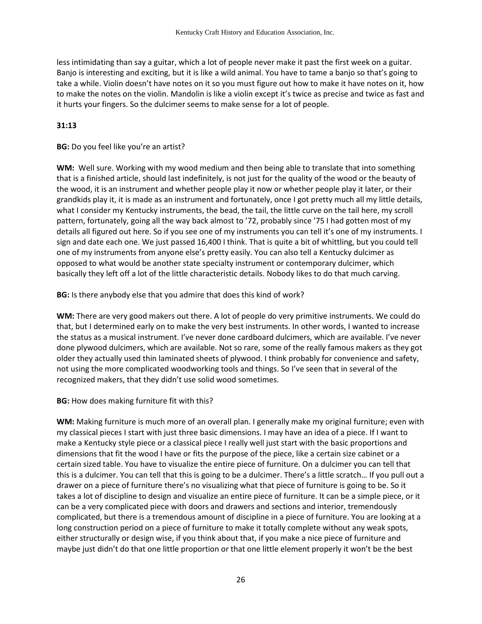less intimidating than say a guitar, which a lot of people never make it past the first week on a guitar. Banjo is interesting and exciting, but it is like a wild animal. You have to tame a banjo so that's going to take a while. Violin doesn't have notes on it so you must figure out how to make it have notes on it, how to make the notes on the violin. Mandolin is like a violin except it's twice as precise and twice as fast and it hurts your fingers. So the dulcimer seems to make sense for a lot of people.

# **31:13**

## **BG:** Do you feel like you're an artist?

**WM:** Well sure. Working with my wood medium and then being able to translate that into something that is a finished article, should last indefinitely, is not just for the quality of the wood or the beauty of the wood, it is an instrument and whether people play it now or whether people play it later, or their grandkids play it, it is made as an instrument and fortunately, once I got pretty much all my little details, what I consider my Kentucky instruments, the bead, the tail, the little curve on the tail here, my scroll pattern, fortunately, going all the way back almost to '72, probably since '75 I had gotten most of my details all figured out here. So if you see one of my instruments you can tell it's one of my instruments. I sign and date each one. We just passed 16,400 I think. That is quite a bit of whittling, but you could tell one of my instruments from anyone else's pretty easily. You can also tell a Kentucky dulcimer as opposed to what would be another state specialty instrument or contemporary dulcimer, which basically they left off a lot of the little characteristic details. Nobody likes to do that much carving.

**BG:** Is there anybody else that you admire that does this kind of work?

**WM:** There are very good makers out there. A lot of people do very primitive instruments. We could do that, but I determined early on to make the very best instruments. In other words, I wanted to increase the status as a musical instrument. I've never done cardboard dulcimers, which are available. I've never done plywood dulcimers, which are available. Not so rare, some of the really famous makers as they got older they actually used thin laminated sheets of plywood. I think probably for convenience and safety, not using the more complicated woodworking tools and things. So I've seen that in several of the recognized makers, that they didn't use solid wood sometimes.

### **BG:** How does making furniture fit with this?

**WM:** Making furniture is much more of an overall plan. I generally make my original furniture; even with my classical pieces I start with just three basic dimensions. I may have an idea of a piece. If I want to make a Kentucky style piece or a classical piece I really well just start with the basic proportions and dimensions that fit the wood I have or fits the purpose of the piece, like a certain size cabinet or a certain sized table. You have to visualize the entire piece of furniture. On a dulcimer you can tell that this is a dulcimer. You can tell that this is going to be a dulcimer. There's a little scratch… If you pull out a drawer on a piece of furniture there's no visualizing what that piece of furniture is going to be. So it takes a lot of discipline to design and visualize an entire piece of furniture. It can be a simple piece, or it can be a very complicated piece with doors and drawers and sections and interior, tremendously complicated, but there is a tremendous amount of discipline in a piece of furniture. You are looking at a long construction period on a piece of furniture to make it totally complete without any weak spots, either structurally or design wise, if you think about that, if you make a nice piece of furniture and maybe just didn't do that one little proportion or that one little element properly it won't be the best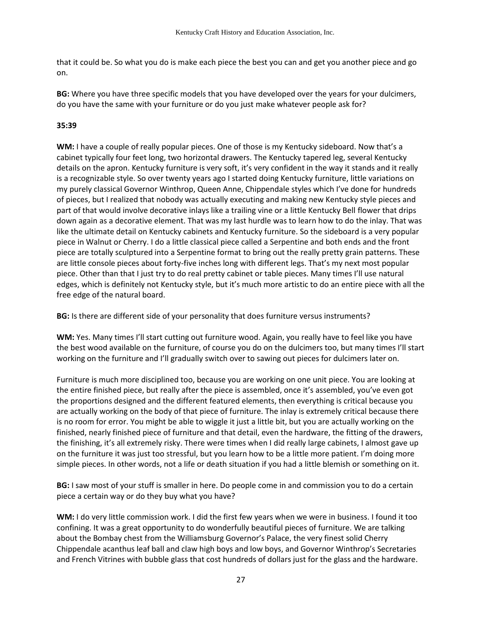that it could be. So what you do is make each piece the best you can and get you another piece and go on.

**BG:** Where you have three specific models that you have developed over the years for your dulcimers, do you have the same with your furniture or do you just make whatever people ask for?

# **35:39**

**WM:** I have a couple of really popular pieces. One of those is my Kentucky sideboard. Now that's a cabinet typically four feet long, two horizontal drawers. The Kentucky tapered leg, several Kentucky details on the apron. Kentucky furniture is very soft, it's very confident in the way it stands and it really is a recognizable style. So over twenty years ago I started doing Kentucky furniture, little variations on my purely classical Governor Winthrop, Queen Anne, Chippendale styles which I've done for hundreds of pieces, but I realized that nobody was actually executing and making new Kentucky style pieces and part of that would involve decorative inlays like a trailing vine or a little Kentucky Bell flower that drips down again as a decorative element. That was my last hurdle was to learn how to do the inlay. That was like the ultimate detail on Kentucky cabinets and Kentucky furniture. So the sideboard is a very popular piece in Walnut or Cherry. I do a little classical piece called a Serpentine and both ends and the front piece are totally sculptured into a Serpentine format to bring out the really pretty grain patterns. These are little console pieces about forty-five inches long with different legs. That's my next most popular piece. Other than that I just try to do real pretty cabinet or table pieces. Many times I'll use natural edges, which is definitely not Kentucky style, but it's much more artistic to do an entire piece with all the free edge of the natural board.

**BG:** Is there are different side of your personality that does furniture versus instruments?

**WM:** Yes. Many times I'll start cutting out furniture wood. Again, you really have to feel like you have the best wood available on the furniture, of course you do on the dulcimers too, but many times I'll start working on the furniture and I'll gradually switch over to sawing out pieces for dulcimers later on.

Furniture is much more disciplined too, because you are working on one unit piece. You are looking at the entire finished piece, but really after the piece is assembled, once it's assembled, you've even got the proportions designed and the different featured elements, then everything is critical because you are actually working on the body of that piece of furniture. The inlay is extremely critical because there is no room for error. You might be able to wiggle it just a little bit, but you are actually working on the finished, nearly finished piece of furniture and that detail, even the hardware, the fitting of the drawers, the finishing, it's all extremely risky. There were times when I did really large cabinets, I almost gave up on the furniture it was just too stressful, but you learn how to be a little more patient. I'm doing more simple pieces. In other words, not a life or death situation if you had a little blemish or something on it.

**BG:** I saw most of your stuff is smaller in here. Do people come in and commission you to do a certain piece a certain way or do they buy what you have?

**WM:** I do very little commission work. I did the first few years when we were in business. I found it too confining. It was a great opportunity to do wonderfully beautiful pieces of furniture. We are talking about the Bombay chest from the Williamsburg Governor's Palace, the very finest solid Cherry Chippendale acanthus leaf ball and claw high boys and low boys, and Governor Winthrop's Secretaries and French Vitrines with bubble glass that cost hundreds of dollars just for the glass and the hardware.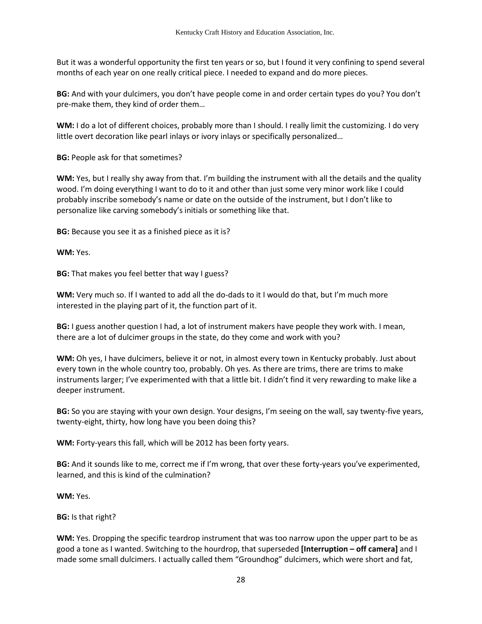But it was a wonderful opportunity the first ten years or so, but I found it very confining to spend several months of each year on one really critical piece. I needed to expand and do more pieces.

**BG:** And with your dulcimers, you don't have people come in and order certain types do you? You don't pre-make them, they kind of order them…

**WM:** I do a lot of different choices, probably more than I should. I really limit the customizing. I do very little overt decoration like pearl inlays or ivory inlays or specifically personalized…

**BG:** People ask for that sometimes?

**WM:** Yes, but I really shy away from that. I'm building the instrument with all the details and the quality wood. I'm doing everything I want to do to it and other than just some very minor work like I could probably inscribe somebody's name or date on the outside of the instrument, but I don't like to personalize like carving somebody's initials or something like that.

**BG:** Because you see it as a finished piece as it is?

**WM:** Yes.

**BG:** That makes you feel better that way I guess?

**WM:** Very much so. If I wanted to add all the do-dads to it I would do that, but I'm much more interested in the playing part of it, the function part of it.

**BG:** I guess another question I had, a lot of instrument makers have people they work with. I mean, there are a lot of dulcimer groups in the state, do they come and work with you?

**WM:** Oh yes, I have dulcimers, believe it or not, in almost every town in Kentucky probably. Just about every town in the whole country too, probably. Oh yes. As there are trims, there are trims to make instruments larger; I've experimented with that a little bit. I didn't find it very rewarding to make like a deeper instrument.

**BG:** So you are staying with your own design. Your designs, I'm seeing on the wall, say twenty-five years, twenty-eight, thirty, how long have you been doing this?

**WM:** Forty-years this fall, which will be 2012 has been forty years.

**BG:** And it sounds like to me, correct me if I'm wrong, that over these forty-years you've experimented, learned, and this is kind of the culmination?

**WM:** Yes.

**BG:** Is that right?

**WM:** Yes. Dropping the specific teardrop instrument that was too narrow upon the upper part to be as good a tone as I wanted. Switching to the hourdrop, that superseded **[Interruption – off camera]** and I made some small dulcimers. I actually called them "Groundhog" dulcimers, which were short and fat,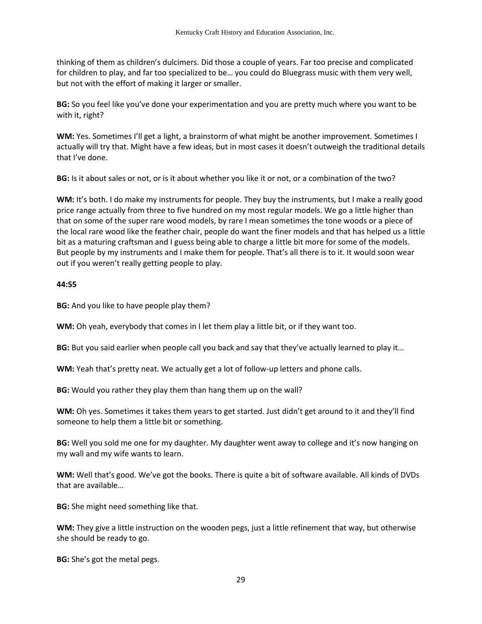thinking of them as children's dulcimers. Did those a couple of years. Far too precise and complicated for children to play, and far too specialized to be… you could do Bluegrass music with them very well, but not with the effort of making it larger or smaller.

**BG:** So you feel like you've done your experimentation and you are pretty much where you want to be with it, right?

**WM:** Yes. Sometimes I'll get a light, a brainstorm of what might be another improvement. Sometimes I actually will try that. Might have a few ideas, but in most cases it doesn't outweigh the traditional details that I've done.

**BG:** Is it about sales or not, or is it about whether you like it or not, or a combination of the two?

**WM:** It's both. I do make my instruments for people. They buy the instruments, but I make a really good price range actually from three to five hundred on my most regular models. We go a little higher than that on some of the super rare wood models, by rare I mean sometimes the tone woods or a piece of the local rare wood like the feather chair, people do want the finer models and that has helped us a little bit as a maturing craftsman and I guess being able to charge a little bit more for some of the models. But people by my instruments and I make them for people. That's all there is to it. It would soon wear out if you weren't really getting people to play.

#### **44:55**

**BG:** And you like to have people play them?

**WM:** Oh yeah, everybody that comes in I let them play a little bit, or if they want too.

**BG:** But you said earlier when people call you back and say that they've actually learned to play it…

**WM:** Yeah that's pretty neat. We actually get a lot of follow-up letters and phone calls.

**BG:** Would you rather they play them than hang them up on the wall?

**WM:** Oh yes. Sometimes it takes them years to get started. Just didn't get around to it and they'll find someone to help them a little bit or something.

**BG:** Well you sold me one for my daughter. My daughter went away to college and it's now hanging on my wall and my wife wants to learn.

**WM:** Well that's good. We've got the books. There is quite a bit of software available. All kinds of DVDs that are available…

**BG:** She might need something like that.

**WM:** They give a little instruction on the wooden pegs, just a little refinement that way, but otherwise she should be ready to go.

**BG:** She's got the metal pegs.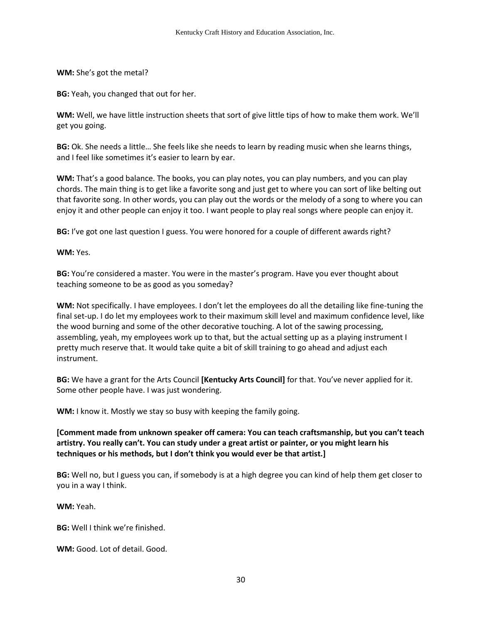**WM:** She's got the metal?

**BG:** Yeah, you changed that out for her.

**WM:** Well, we have little instruction sheets that sort of give little tips of how to make them work. We'll get you going.

**BG:** Ok. She needs a little… She feels like she needs to learn by reading music when she learns things, and I feel like sometimes it's easier to learn by ear.

**WM:** That's a good balance. The books, you can play notes, you can play numbers, and you can play chords. The main thing is to get like a favorite song and just get to where you can sort of like belting out that favorite song. In other words, you can play out the words or the melody of a song to where you can enjoy it and other people can enjoy it too. I want people to play real songs where people can enjoy it.

**BG:** I've got one last question I guess. You were honored for a couple of different awards right?

**WM:** Yes.

**BG:** You're considered a master. You were in the master's program. Have you ever thought about teaching someone to be as good as you someday?

**WM:** Not specifically. I have employees. I don't let the employees do all the detailing like fine-tuning the final set-up. I do let my employees work to their maximum skill level and maximum confidence level, like the wood burning and some of the other decorative touching. A lot of the sawing processing, assembling, yeah, my employees work up to that, but the actual setting up as a playing instrument I pretty much reserve that. It would take quite a bit of skill training to go ahead and adjust each instrument.

**BG:** We have a grant for the Arts Council **[Kentucky Arts Council]** for that. You've never applied for it. Some other people have. I was just wondering.

**WM:** I know it. Mostly we stay so busy with keeping the family going.

**[Comment made from unknown speaker off camera: You can teach craftsmanship, but you can't teach artistry. You really can't. You can study under a great artist or painter, or you might learn his techniques or his methods, but I don't think you would ever be that artist.]** 

**BG:** Well no, but I guess you can, if somebody is at a high degree you can kind of help them get closer to you in a way I think.

**WM:** Yeah.

**BG:** Well I think we're finished.

**WM:** Good. Lot of detail. Good.